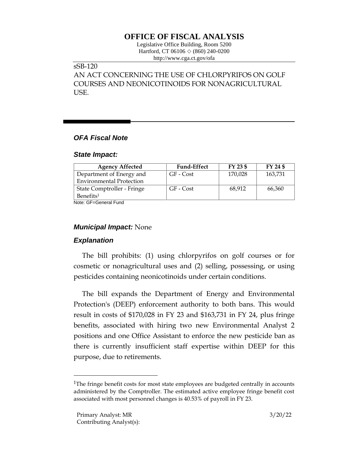# **OFFICE OF FISCAL ANALYSIS**

Legislative Office Building, Room 5200 Hartford, CT 06106  $\Diamond$  (860) 240-0200 http://www.cga.ct.gov/ofa

# sSB-120

AN ACT CONCERNING THE USE OF CHLORPYRIFOS ON GOLF COURSES AND NEONICOTINOIDS FOR NONAGRICULTURAL USE.

### *OFA Fiscal Note*

#### *State Impact:*

| <b>Agency Affected</b>          | <b>Fund-Effect</b> | FY 23 \$ | FY 24 \$ |
|---------------------------------|--------------------|----------|----------|
| Department of Energy and        | GF - Cost          | 170,028  | 163,731  |
| <b>Environmental Protection</b> |                    |          |          |
| State Comptroller - Fringe      | GF - Cost          | 68,912   | 66,360   |
| Benefits <sup>1</sup>           |                    |          |          |

Note: GF=General Fund

### *Municipal Impact:* None

## *Explanation*

The bill prohibits: (1) using chlorpyrifos on golf courses or for cosmetic or nonagricultural uses and (2) selling, possessing, or using pesticides containing neonicotinoids under certain conditions.

The bill expands the Department of Energy and Environmental Protection's (DEEP) enforcement authority to both bans. This would result in costs of \$170,028 in FY 23 and \$163,731 in FY 24, plus fringe benefits, associated with hiring two new Environmental Analyst 2 positions and one Office Assistant to enforce the new pesticide ban as there is currently insufficient staff expertise within DEEP for this purpose, due to retirements.

<sup>&</sup>lt;sup>1</sup>The fringe benefit costs for most state employees are budgeted centrally in accounts administered by the Comptroller. The estimated active employee fringe benefit cost associated with most personnel changes is 40.53% of payroll in FY 23.